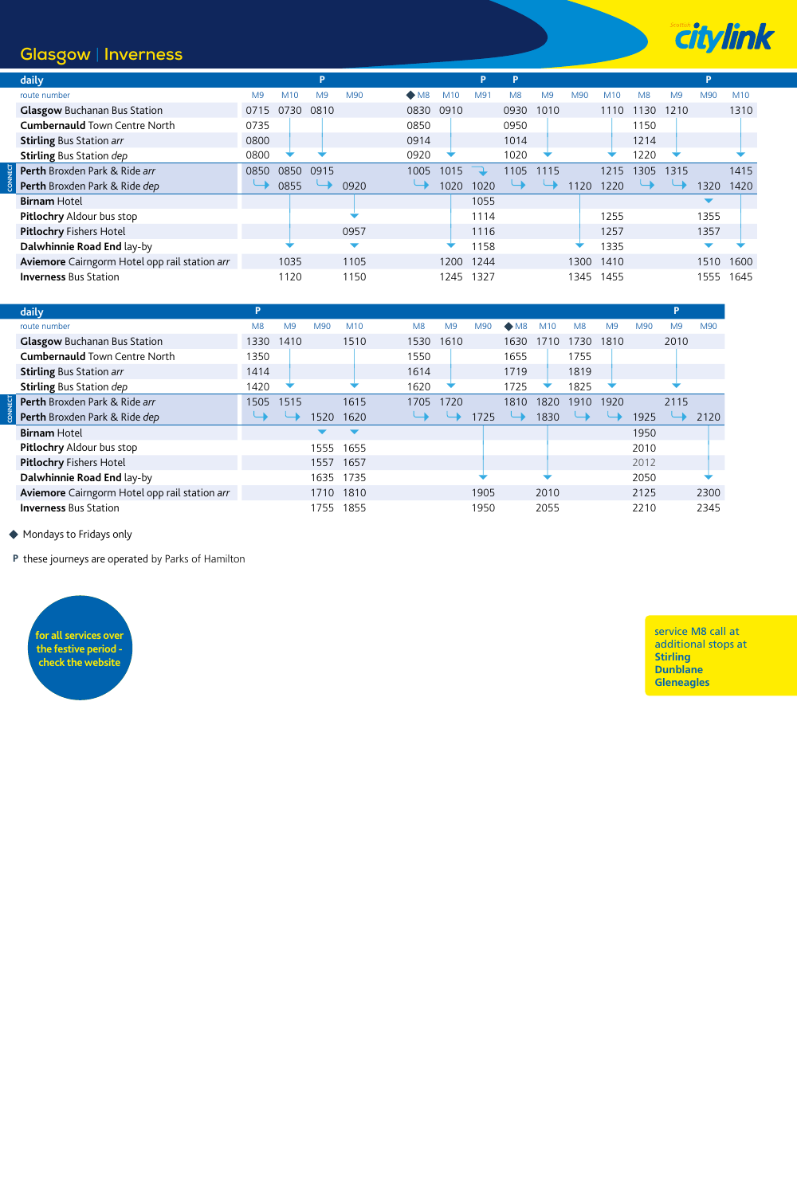## **Glasgow** | **Inverness**

**CONNECT**

CONNECT



| daily                                         |                |      | P              |      |                          |      | Þ              | P              |                |      |      |                |                | P    |      |
|-----------------------------------------------|----------------|------|----------------|------|--------------------------|------|----------------|----------------|----------------|------|------|----------------|----------------|------|------|
| route number                                  | M <sub>9</sub> | M10  | M <sub>9</sub> | M90  | $\bullet$ M <sub>8</sub> | M10  | M <sub>3</sub> | M <sub>8</sub> | M <sub>9</sub> | M90  | M10  | M <sub>8</sub> | M <sub>9</sub> | M90  | M10  |
| <b>Glasgow Buchanan Bus Station</b>           | 0715           | 0730 | 0810           |      | 0830                     | 0910 |                | 0930           | 1010           |      | 1110 | 1130           | 1210           |      | 1310 |
| <b>Cumbernauld Town Centre North</b>          | 0735           |      |                |      | 0850                     |      |                | 0950           |                |      |      | 1150           |                |      |      |
| <b>Stirling Bus Station arr</b>               | 0800           |      |                |      | 0914                     |      |                | 1014           |                |      |      | 1214           |                |      |      |
| <b>Stirling Bus Station dep</b>               | 0800           |      |                |      | 0920                     |      |                | 1020           | ÷              |      |      | 1220           |                |      |      |
| Perth Broxden Park & Ride arr                 | 0850           | 0850 | 0915           |      | 1005                     | 1015 |                | 1105           | 1115           |      | 1215 | 1305           | 1315           |      | 1415 |
| Perth Broxden Park & Ride dep                 |                | 0855 |                | 0920 |                          | 1020 | 1020           |                |                | 120  | 1220 |                |                | 1320 | 1420 |
| <b>Birnam Hotel</b>                           |                |      |                |      |                          |      | 1055           |                |                |      |      |                |                |      |      |
| <b>Pitlochry Aldour bus stop</b>              |                |      |                |      |                          |      | 1114           |                |                |      | 1255 |                |                | 1355 |      |
| <b>Pitlochry Fishers Hotel</b>                |                |      |                | 0957 |                          |      | 1116           |                |                |      | 1257 |                |                | 1357 |      |
| Dalwhinnie Road End lay-by                    |                |      |                | ▼    |                          |      | 1158           |                |                |      | 1335 |                |                |      |      |
| Aviemore Cairngorm Hotel opp rail station arr |                | 1035 |                | 1105 |                          | 1200 | 1244           |                |                | 1300 | 1410 |                |                | 1510 | 1600 |
| <b>Inverness Bus Station</b>                  |                | 1120 |                | 1150 |                          | 1245 | 1327           |                |                | 1345 | 1455 |                |                | 1555 | 1645 |

| daily                                         |                |      |      |      |      |                |      |              |      |                |                |      |                |      |
|-----------------------------------------------|----------------|------|------|------|------|----------------|------|--------------|------|----------------|----------------|------|----------------|------|
| route number                                  | M <sub>8</sub> | M9   | M90  | M10  | M8   | M <sub>9</sub> | M90  | $\bullet$ M8 | M10  | M <sub>8</sub> | M <sub>9</sub> | M90  | M <sub>9</sub> | M90  |
| <b>Glasgow Buchanan Bus Station</b>           | 1330           | 1410 |      | 1510 | 1530 | 1610           |      | 1630         | 1710 | 1730.          | 1810           |      | 2010           |      |
| <b>Cumbernauld Town Centre North</b>          | 1350           |      |      |      | 1550 |                |      | 1655         |      | 1755           |                |      |                |      |
| <b>Stirling Bus Station arr</b>               | 1414           |      |      |      | 1614 |                |      | 1719         |      | 1819           |                |      |                |      |
| <b>Stirling Bus Station dep</b>               | 1420           |      |      |      | 1620 |                |      | 1725         |      | 1825           |                |      |                |      |
| <b>Perth</b> Broxden Park & Ride arr          | 1505           | 1515 |      | 1615 | 1705 | 1720           |      | 1810         | 1820 | 1910           | 1920           |      | 2115           |      |
| Perth Broxden Park & Ride dep                 |                |      | 1520 | 1620 |      |                | 1725 |              | 1830 |                |                | 1925 |                | 2120 |
| <b>Birnam Hotel</b>                           |                |      |      |      |      |                |      |              |      |                |                | 1950 |                |      |
| Pitlochry Aldour bus stop                     |                |      | 1555 | 1655 |      |                |      |              |      |                |                | 2010 |                |      |
| <b>Pitlochry Fishers Hotel</b>                |                |      | 1557 | 1657 |      |                |      |              |      |                |                | 2012 |                |      |
| Dalwhinnie Road End lay-by                    |                |      | 1635 | 1735 |      |                |      |              |      |                |                | 2050 |                |      |
| Aviemore Cairngorm Hotel opp rail station arr |                |      | 1710 | 1810 |      |                | 1905 |              | 2010 |                |                | 2125 |                | 2300 |
| <b>Inverness Bus Station</b>                  |                |      | 1755 | 1855 |      |                | 1950 |              | 2055 |                |                | 2210 |                | 2345 |

◆ Mondays to Fridays only

**P** these journeys are operated by Parks of Hamilton



service M8 call at additional stops at **Stirling Dunblane Gleneagles**